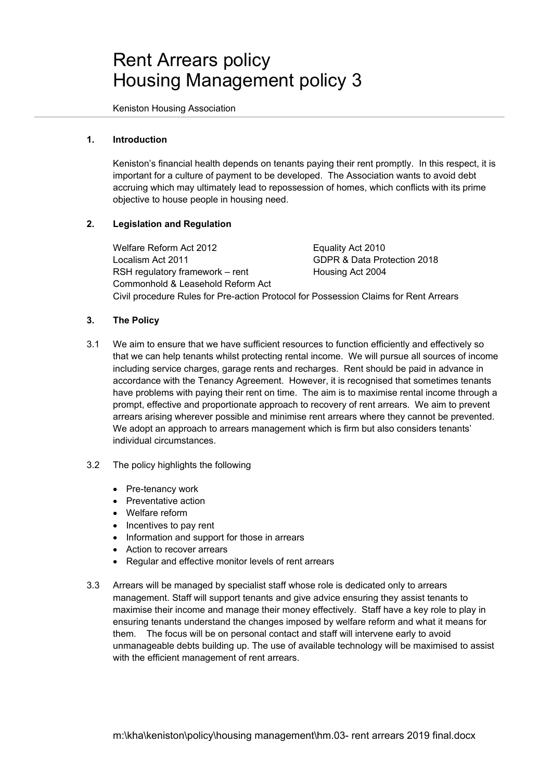# Rent Arrears policy Housing Management policy 3

Keniston Housing Association

# **1. Introduction**

 Keniston's financial health depends on tenants paying their rent promptly. In this respect, it is important for a culture of payment to be developed. The Association wants to avoid debt accruing which may ultimately lead to repossession of homes, which conflicts with its prime objective to house people in housing need.

# **2. Legislation and Regulation**

Welfare Reform Act 2012 Equality Act 2010 Localism Act 2011 GDPR & Data Protection 2018 RSH regulatory framework – rent Housing Act 2004 Commonhold & Leasehold Reform Act Civil procedure Rules for Pre-action Protocol for Possession Claims for Rent Arrears

# **3. The Policy**

- 3.1 We aim to ensure that we have sufficient resources to function efficiently and effectively so that we can help tenants whilst protecting rental income. We will pursue all sources of income including service charges, garage rents and recharges. Rent should be paid in advance in accordance with the Tenancy Agreement. However, it is recognised that sometimes tenants have problems with paying their rent on time. The aim is to maximise rental income through a prompt, effective and proportionate approach to recovery of rent arrears. We aim to prevent arrears arising wherever possible and minimise rent arrears where they cannot be prevented. We adopt an approach to arrears management which is firm but also considers tenants' individual circumstances.
- 3.2 The policy highlights the following
	- Pre-tenancy work
	- Preventative action
	- Welfare reform
	- Incentives to pay rent
	- Information and support for those in arrears
	- Action to recover arrears
	- Regular and effective monitor levels of rent arrears
- 3.3 Arrears will be managed by specialist staff whose role is dedicated only to arrears management. Staff will support tenants and give advice ensuring they assist tenants to maximise their income and manage their money effectively. Staff have a key role to play in ensuring tenants understand the changes imposed by welfare reform and what it means for them. The focus will be on personal contact and staff will intervene early to avoid unmanageable debts building up. The use of available technology will be maximised to assist with the efficient management of rent arrears.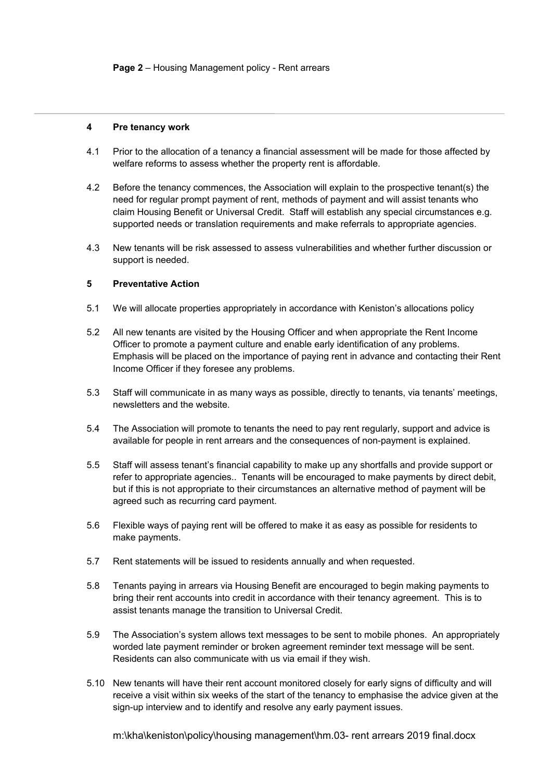#### **4 Pre tenancy work**

- 4.1 Prior to the allocation of a tenancy a financial assessment will be made for those affected by welfare reforms to assess whether the property rent is affordable.
- 4.2 Before the tenancy commences, the Association will explain to the prospective tenant(s) the need for regular prompt payment of rent, methods of payment and will assist tenants who claim Housing Benefit or Universal Credit. Staff will establish any special circumstances e.g. supported needs or translation requirements and make referrals to appropriate agencies.
- 4.3 New tenants will be risk assessed to assess vulnerabilities and whether further discussion or support is needed.

# **5 Preventative Action**

- 5.1 We will allocate properties appropriately in accordance with Keniston's allocations policy
- 5.2 All new tenants are visited by the Housing Officer and when appropriate the Rent Income Officer to promote a payment culture and enable early identification of any problems. Emphasis will be placed on the importance of paying rent in advance and contacting their Rent Income Officer if they foresee any problems.
- 5.3 Staff will communicate in as many ways as possible, directly to tenants, via tenants' meetings, newsletters and the website.
- 5.4 The Association will promote to tenants the need to pay rent regularly, support and advice is available for people in rent arrears and the consequences of non-payment is explained.
- 5.5 Staff will assess tenant's financial capability to make up any shortfalls and provide support or refer to appropriate agencies.. Tenants will be encouraged to make payments by direct debit, but if this is not appropriate to their circumstances an alternative method of payment will be agreed such as recurring card payment.
- 5.6 Flexible ways of paying rent will be offered to make it as easy as possible for residents to make payments.
- 5.7 Rent statements will be issued to residents annually and when requested.
- 5.8 Tenants paying in arrears via Housing Benefit are encouraged to begin making payments to bring their rent accounts into credit in accordance with their tenancy agreement. This is to assist tenants manage the transition to Universal Credit.
- 5.9 The Association's system allows text messages to be sent to mobile phones. An appropriately worded late payment reminder or broken agreement reminder text message will be sent. Residents can also communicate with us via email if they wish.
- 5.10 New tenants will have their rent account monitored closely for early signs of difficulty and will receive a visit within six weeks of the start of the tenancy to emphasise the advice given at the sign-up interview and to identify and resolve any early payment issues.

m:\kha\keniston\policy\housing management\hm.03- rent arrears 2019 final.docx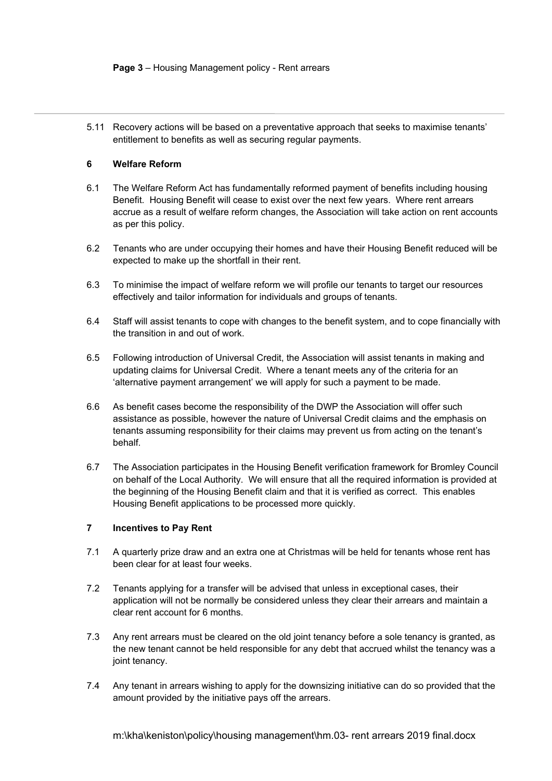#### **Page 3** – Housing Management policy - Rent arrears

5.11 Recovery actions will be based on a preventative approach that seeks to maximise tenants' entitlement to benefits as well as securing regular payments.

# **6 Welfare Reform**

- 6.1 The Welfare Reform Act has fundamentally reformed payment of benefits including housing Benefit. Housing Benefit will cease to exist over the next few years. Where rent arrears accrue as a result of welfare reform changes, the Association will take action on rent accounts as per this policy.
- 6.2 Tenants who are under occupying their homes and have their Housing Benefit reduced will be expected to make up the shortfall in their rent.
- 6.3 To minimise the impact of welfare reform we will profile our tenants to target our resources effectively and tailor information for individuals and groups of tenants.
- 6.4 Staff will assist tenants to cope with changes to the benefit system, and to cope financially with the transition in and out of work.
- 6.5 Following introduction of Universal Credit, the Association will assist tenants in making and updating claims for Universal Credit. Where a tenant meets any of the criteria for an 'alternative payment arrangement' we will apply for such a payment to be made.
- 6.6 As benefit cases become the responsibility of the DWP the Association will offer such assistance as possible, however the nature of Universal Credit claims and the emphasis on tenants assuming responsibility for their claims may prevent us from acting on the tenant's behalf.
- 6.7 The Association participates in the Housing Benefit verification framework for Bromley Council on behalf of the Local Authority. We will ensure that all the required information is provided at the beginning of the Housing Benefit claim and that it is verified as correct. This enables Housing Benefit applications to be processed more quickly.

# **7 Incentives to Pay Rent**

- 7.1 A quarterly prize draw and an extra one at Christmas will be held for tenants whose rent has been clear for at least four weeks.
- 7.2 Tenants applying for a transfer will be advised that unless in exceptional cases, their application will not be normally be considered unless they clear their arrears and maintain a clear rent account for 6 months.
- 7.3 Any rent arrears must be cleared on the old joint tenancy before a sole tenancy is granted, as the new tenant cannot be held responsible for any debt that accrued whilst the tenancy was a joint tenancy.
- 7.4 Any tenant in arrears wishing to apply for the downsizing initiative can do so provided that the amount provided by the initiative pays off the arrears.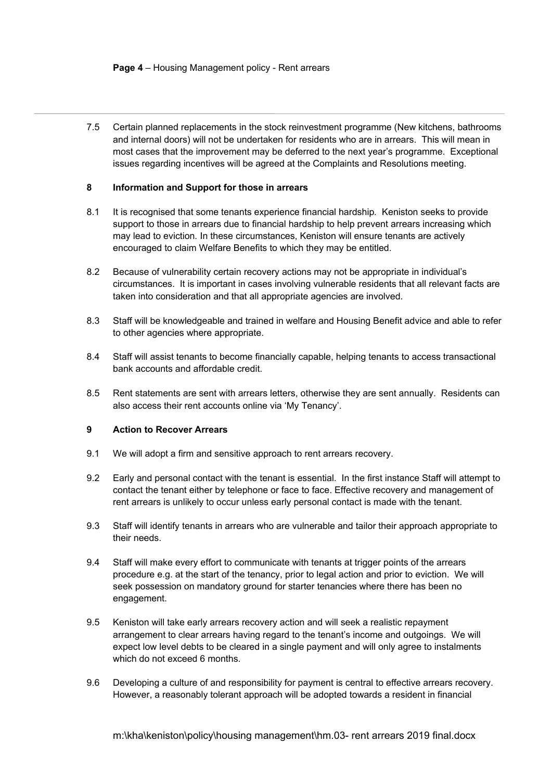7.5 Certain planned replacements in the stock reinvestment programme (New kitchens, bathrooms and internal doors) will not be undertaken for residents who are in arrears. This will mean in most cases that the improvement may be deferred to the next year's programme. Exceptional issues regarding incentives will be agreed at the Complaints and Resolutions meeting.

# **8 Information and Support for those in arrears**

- 8.1 It is recognised that some tenants experience financial hardship*.* Keniston seeks to provide support to those in arrears due to financial hardship to help prevent arrears increasing which may lead to eviction*.* In these circumstances, Keniston will ensure tenants are actively encouraged to claim Welfare Benefits to which they may be entitled.
- 8.2 Because of vulnerability certain recovery actions may not be appropriate in individual's circumstances. It is important in cases involving vulnerable residents that all relevant facts are taken into consideration and that all appropriate agencies are involved.
- 8.3 Staff will be knowledgeable and trained in welfare and Housing Benefit advice and able to refer to other agencies where appropriate.
- 8.4 Staff will assist tenants to become financially capable, helping tenants to access transactional bank accounts and affordable credit.
- 8.5 Rent statements are sent with arrears letters, otherwise they are sent annually. Residents can also access their rent accounts online via 'My Tenancy'.

#### **9 Action to Recover Arrears**

- 9.1 We will adopt a firm and sensitive approach to rent arrears recovery.
- 9.2 Early and personal contact with the tenant is essential. In the first instance Staff will attempt to contact the tenant either by telephone or face to face. Effective recovery and management of rent arrears is unlikely to occur unless early personal contact is made with the tenant.
- 9.3 Staff will identify tenants in arrears who are vulnerable and tailor their approach appropriate to their needs.
- 9.4 Staff will make every effort to communicate with tenants at trigger points of the arrears procedure e.g. at the start of the tenancy, prior to legal action and prior to eviction. We will seek possession on mandatory ground for starter tenancies where there has been no engagement.
- 9.5 Keniston will take early arrears recovery action and will seek a realistic repayment arrangement to clear arrears having regard to the tenant's income and outgoings. We will expect low level debts to be cleared in a single payment and will only agree to instalments which do not exceed 6 months.
- 9.6 Developing a culture of and responsibility for payment is central to effective arrears recovery. However, a reasonably tolerant approach will be adopted towards a resident in financial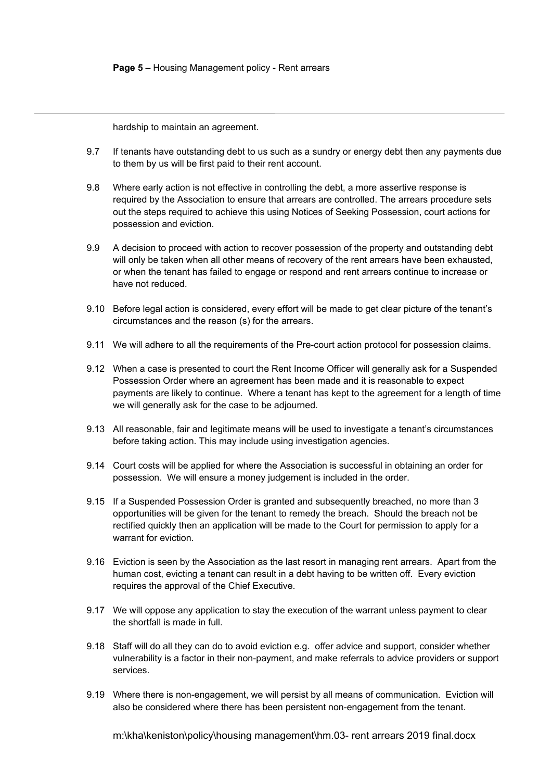hardship to maintain an agreement.

- 9.7 If tenants have outstanding debt to us such as a sundry or energy debt then any payments due to them by us will be first paid to their rent account.
- 9.8 Where early action is not effective in controlling the debt, a more assertive response is required by the Association to ensure that arrears are controlled. The arrears procedure sets out the steps required to achieve this using Notices of Seeking Possession, court actions for possession and eviction.
- 9.9 A decision to proceed with action to recover possession of the property and outstanding debt will only be taken when all other means of recovery of the rent arrears have been exhausted, or when the tenant has failed to engage or respond and rent arrears continue to increase or have not reduced.
- 9.10 Before legal action is considered, every effort will be made to get clear picture of the tenant's circumstances and the reason (s) for the arrears.
- 9.11 We will adhere to all the requirements of the Pre-court action protocol for possession claims.
- 9.12 When a case is presented to court the Rent Income Officer will generally ask for a Suspended Possession Order where an agreement has been made and it is reasonable to expect payments are likely to continue. Where a tenant has kept to the agreement for a length of time we will generally ask for the case to be adjourned.
- 9.13 All reasonable, fair and legitimate means will be used to investigate a tenant's circumstances before taking action. This may include using investigation agencies.
- 9.14 Court costs will be applied for where the Association is successful in obtaining an order for possession. We will ensure a money judgement is included in the order.
- 9.15 If a Suspended Possession Order is granted and subsequently breached, no more than 3 opportunities will be given for the tenant to remedy the breach. Should the breach not be rectified quickly then an application will be made to the Court for permission to apply for a warrant for eviction
- 9.16 Eviction is seen by the Association as the last resort in managing rent arrears. Apart from the human cost, evicting a tenant can result in a debt having to be written off. Every eviction requires the approval of the Chief Executive.
- 9.17 We will oppose any application to stay the execution of the warrant unless payment to clear the shortfall is made in full.
- 9.18 Staff will do all they can do to avoid eviction e.g. offer advice and support, consider whether vulnerability is a factor in their non-payment, and make referrals to advice providers or support services.
- 9.19 Where there is non-engagement, we will persist by all means of communication. Eviction will also be considered where there has been persistent non-engagement from the tenant.

m:\kha\keniston\policy\housing management\hm.03- rent arrears 2019 final.docx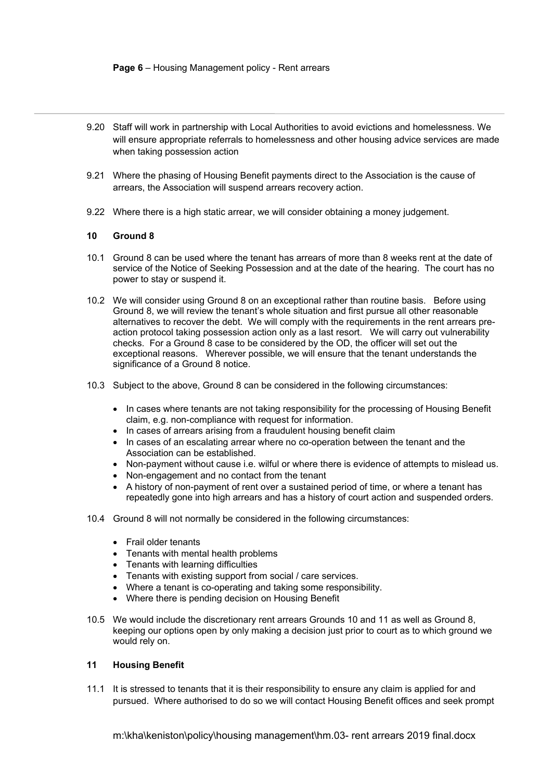#### **Page 6** – Housing Management policy - Rent arrears

- 9.20 Staff will work in partnership with Local Authorities to avoid evictions and homelessness. We will ensure appropriate referrals to homelessness and other housing advice services are made when taking possession action
- 9.21 Where the phasing of Housing Benefit payments direct to the Association is the cause of arrears, the Association will suspend arrears recovery action.
- 9.22 Where there is a high static arrear, we will consider obtaining a money judgement.

# **10 Ground 8**

- 10.1 Ground 8 can be used where the tenant has arrears of more than 8 weeks rent at the date of service of the Notice of Seeking Possession and at the date of the hearing. The court has no power to stay or suspend it.
- 10.2 We will consider using Ground 8 on an exceptional rather than routine basis. Before using Ground 8, we will review the tenant's whole situation and first pursue all other reasonable alternatives to recover the debt. We will comply with the requirements in the rent arrears preaction protocol taking possession action only as a last resort. We will carry out vulnerability checks. For a Ground 8 case to be considered by the OD, the officer will set out the exceptional reasons. Wherever possible, we will ensure that the tenant understands the significance of a Ground 8 notice.
- 10.3 Subject to the above, Ground 8 can be considered in the following circumstances:
	- In cases where tenants are not taking responsibility for the processing of Housing Benefit claim, e.g. non-compliance with request for information.
	- In cases of arrears arising from a fraudulent housing benefit claim
	- In cases of an escalating arrear where no co-operation between the tenant and the Association can be established.
	- Non-payment without cause i.e. wilful or where there is evidence of attempts to mislead us.
	- Non-engagement and no contact from the tenant
	- A history of non-payment of rent over a sustained period of time, or where a tenant has repeatedly gone into high arrears and has a history of court action and suspended orders.
- 10.4 Ground 8 will not normally be considered in the following circumstances:
	- Frail older tenants
	- Tenants with mental health problems
	- Tenants with learning difficulties
	- Tenants with existing support from social / care services.
	- Where a tenant is co-operating and taking some responsibility.
	- Where there is pending decision on Housing Benefit
- 10.5 We would include the discretionary rent arrears Grounds 10 and 11 as well as Ground 8, keeping our options open by only making a decision just prior to court as to which ground we would rely on.

# **11 Housing Benefit**

11.1 It is stressed to tenants that it is their responsibility to ensure any claim is applied for and pursued. Where authorised to do so we will contact Housing Benefit offices and seek prompt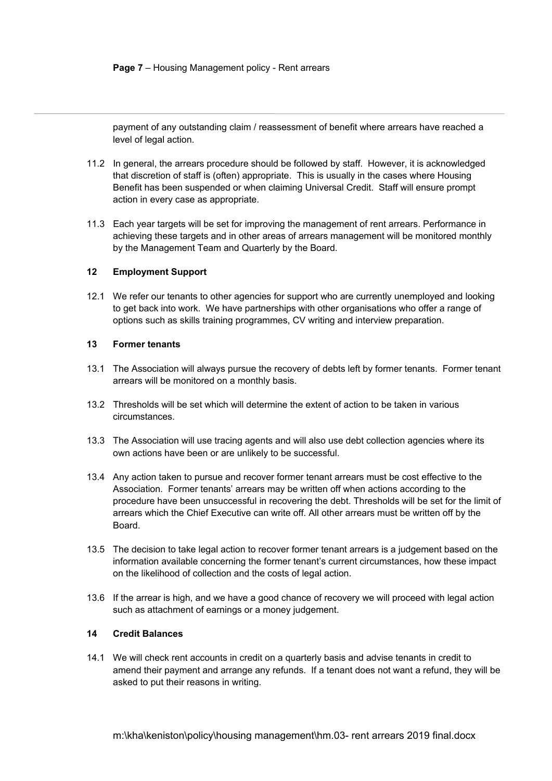payment of any outstanding claim / reassessment of benefit where arrears have reached a level of legal action.

- 11.2 In general, the arrears procedure should be followed by staff. However, it is acknowledged that discretion of staff is (often) appropriate. This is usually in the cases where Housing Benefit has been suspended or when claiming Universal Credit. Staff will ensure prompt action in every case as appropriate.
- 11.3 Each year targets will be set for improving the management of rent arrears. Performance in achieving these targets and in other areas of arrears management will be monitored monthly by the Management Team and Quarterly by the Board.

#### **12 Employment Support**

12.1 We refer our tenants to other agencies for support who are currently unemployed and looking to get back into work. We have partnerships with other organisations who offer a range of options such as skills training programmes, CV writing and interview preparation.

#### **13 Former tenants**

- 13.1 The Association will always pursue the recovery of debts left by former tenants. Former tenant arrears will be monitored on a monthly basis.
- 13.2 Thresholds will be set which will determine the extent of action to be taken in various circumstances.
- 13.3 The Association will use tracing agents and will also use debt collection agencies where its own actions have been or are unlikely to be successful.
- 13.4 Any action taken to pursue and recover former tenant arrears must be cost effective to the Association. Former tenants' arrears may be written off when actions according to the procedure have been unsuccessful in recovering the debt. Thresholds will be set for the limit of arrears which the Chief Executive can write off. All other arrears must be written off by the Board.
- 13.5 The decision to take legal action to recover former tenant arrears is a judgement based on the information available concerning the former tenant's current circumstances, how these impact on the likelihood of collection and the costs of legal action.
- 13.6 If the arrear is high, and we have a good chance of recovery we will proceed with legal action such as attachment of earnings or a money judgement.

# **14 Credit Balances**

14.1 We will check rent accounts in credit on a quarterly basis and advise tenants in credit to amend their payment and arrange any refunds. If a tenant does not want a refund, they will be asked to put their reasons in writing.